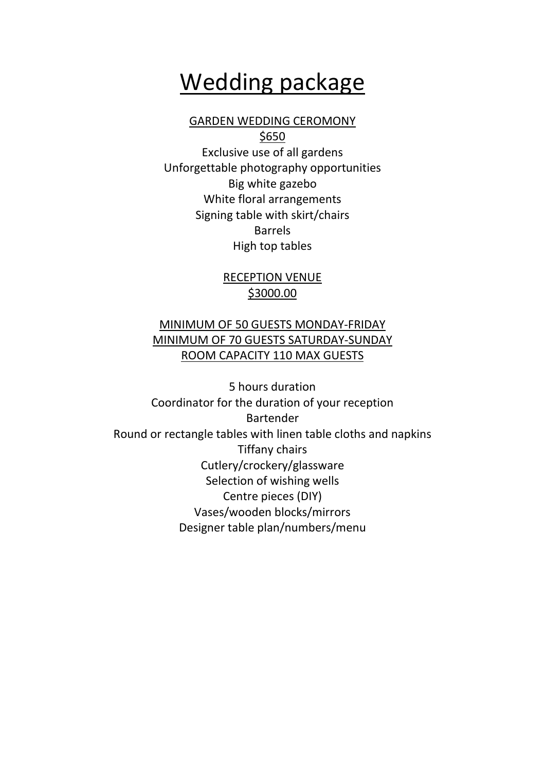## Wedding package

#### GARDEN WEDDING CEROMONY

\$650 Exclusive use of all gardens Unforgettable photography opportunities Big white gazebo White floral arrangements Signing table with skirt/chairs Barrels High top tables

#### RECEPTION VENUE \$3000.00

#### MINIMUM OF 50 GUESTS MONDAY-FRIDAY MINIMUM OF 70 GUESTS SATURDAY-SUNDAY ROOM CAPACITY 110 MAX GUESTS

5 hours duration Coordinator for the duration of your reception Bartender Round or rectangle tables with linen table cloths and napkins Tiffany chairs Cutlery/crockery/glassware Selection of wishing wells Centre pieces (DIY) Vases/wooden blocks/mirrors Designer table plan/numbers/menu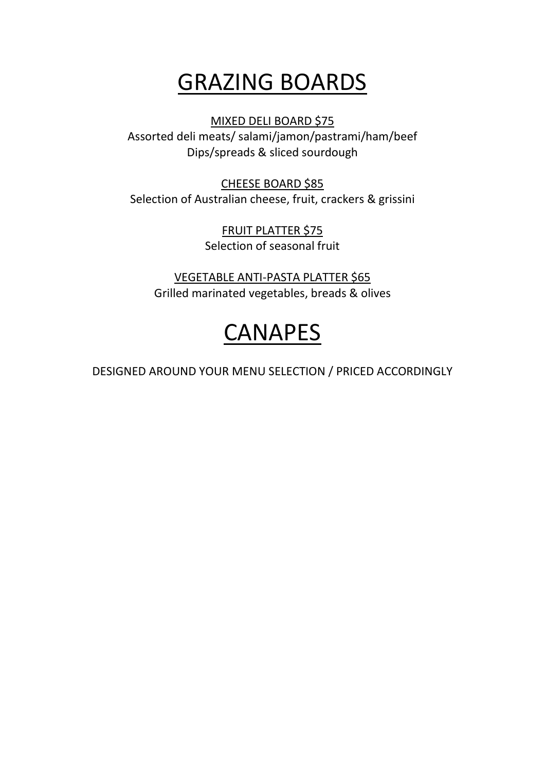# GRAZING BOARDS

MIXED DELI BOARD \$75

Assorted deli meats/ salami/jamon/pastrami/ham/beef Dips/spreads & sliced sourdough

CHEESE BOARD \$85 Selection of Australian cheese, fruit, crackers & grissini

> FRUIT PLATTER \$75 Selection of seasonal fruit

VEGETABLE ANTI-PASTA PLATTER \$65 Grilled marinated vegetables, breads & olives

# CANAPES

DESIGNED AROUND YOUR MENU SELECTION / PRICED ACCORDINGLY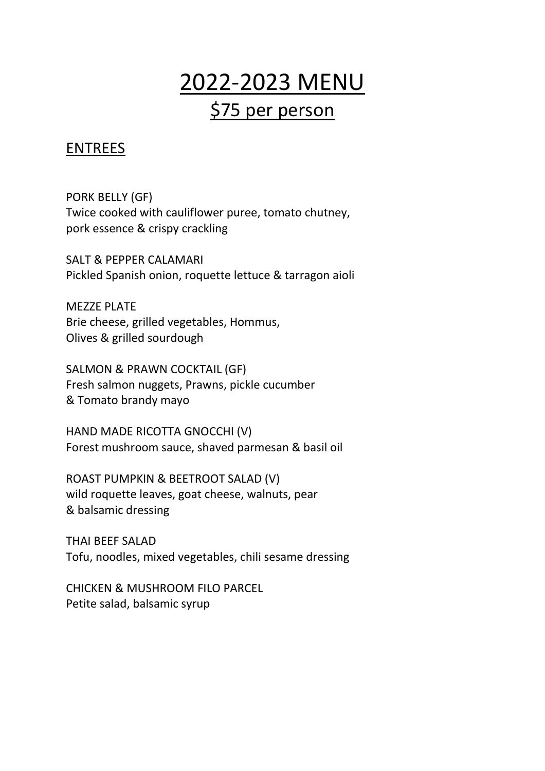## 2022-2023 MENU \$75 per person

## ENTREES

PORK BELLY (GF) Twice cooked with cauliflower puree, tomato chutney, pork essence & crispy crackling

SALT & PEPPER CALAMARI Pickled Spanish onion, roquette lettuce & tarragon aioli

MEZZE PLATE Brie cheese, grilled vegetables, Hommus, Olives & grilled sourdough

SALMON & PRAWN COCKTAIL (GF) Fresh salmon nuggets, Prawns, pickle cucumber & Tomato brandy mayo

HAND MADE RICOTTA GNOCCHI (V) Forest mushroom sauce, shaved parmesan & basil oil

ROAST PUMPKIN & BEETROOT SALAD (V) wild roquette leaves, goat cheese, walnuts, pear & balsamic dressing

THAI BEEF SALAD Tofu, noodles, mixed vegetables, chili sesame dressing

CHICKEN & MUSHROOM FILO PARCEL Petite salad, balsamic syrup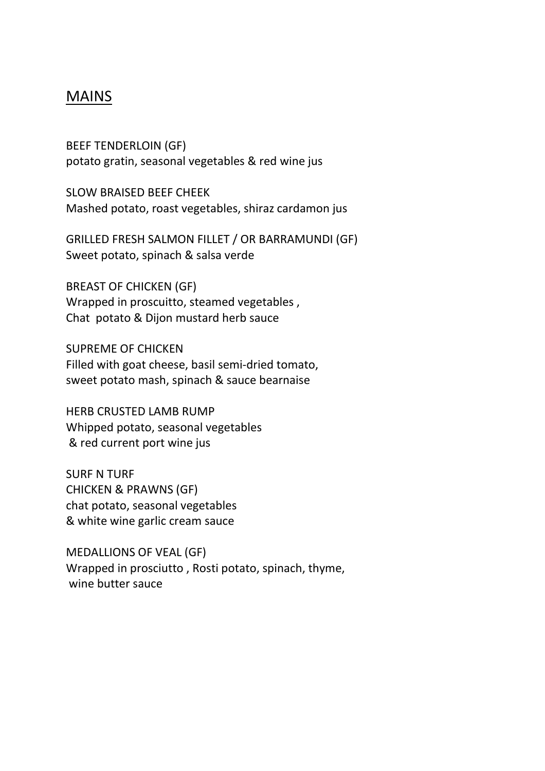### MAINS

BEEF TENDERLOIN (GF) potato gratin, seasonal vegetables & red wine jus

SLOW BRAISED BEEF CHEEK Mashed potato, roast vegetables, shiraz cardamon jus

GRILLED FRESH SALMON FILLET / OR BARRAMUNDI (GF) Sweet potato, spinach & salsa verde

BREAST OF CHICKEN (GF) Wrapped in proscuitto, steamed vegetables , Chat potato & Dijon mustard herb sauce

SUPREME OF CHICKEN Filled with goat cheese, basil semi-dried tomato, sweet potato mash, spinach & sauce bearnaise

HERB CRUSTED LAMB RUMP Whipped potato, seasonal vegetables & red current port wine jus

SURF N TURF CHICKEN & PRAWNS (GF) chat potato, seasonal vegetables & white wine garlic cream sauce

MEDALLIONS OF VEAL (GF) Wrapped in prosciutto , Rosti potato, spinach, thyme, wine butter sauce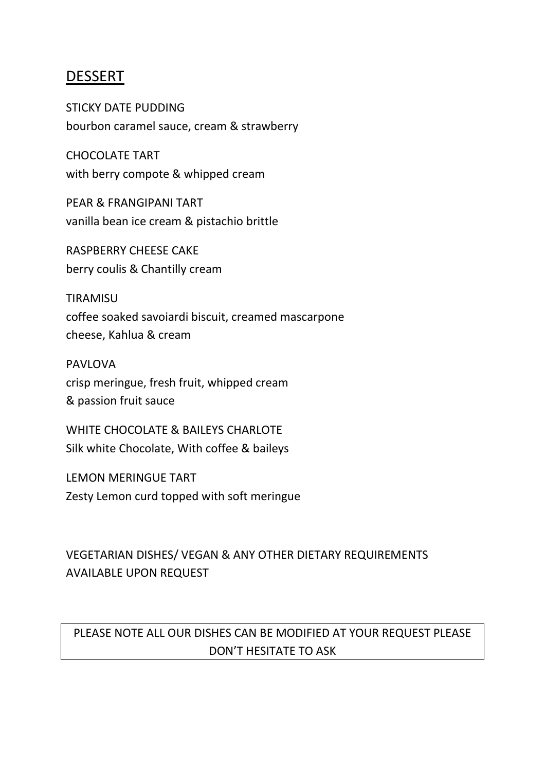### DESSERT

STICKY DATE PUDDING bourbon caramel sauce, cream & strawberry

CHOCOLATE TART with berry compote & whipped cream

PEAR & FRANGIPANI TART vanilla bean ice cream & pistachio brittle

RASPBERRY CHEESE CAKE berry coulis & Chantilly cream

TIRAMISU coffee soaked savoiardi biscuit, creamed mascarpone cheese, Kahlua & cream

PAVLOVA crisp meringue, fresh fruit, whipped cream & passion fruit sauce

WHITE CHOCOLATE & BAILEYS CHARLOTE Silk white Chocolate, With coffee & baileys

LEMON MERINGUE TART Zesty Lemon curd topped with soft meringue

### VEGETARIAN DISHES/ VEGAN & ANY OTHER DIETARY REQUIREMENTS AVAILABLE UPON REQUEST

## PLEASE NOTE ALL OUR DISHES CAN BE MODIFIED AT YOUR REQUEST PLEASE DON'T HESITATE TO ASK